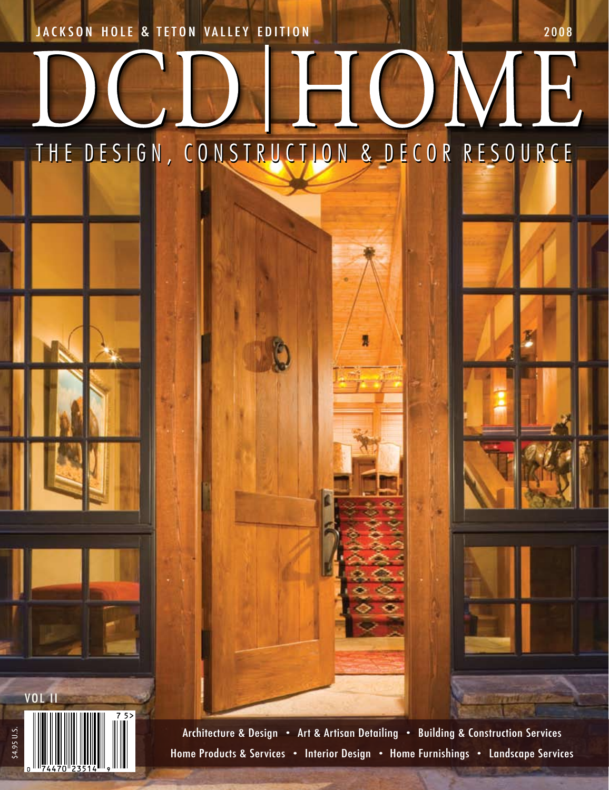JACKSON HOLE & TETON VALLEY EDITION 2008

\$4.95 U.S.

VOL II

## HUME THE DESIGN, CONSTRUCTION & DECOR RESOURCE

Architecture & Design • Art & Artisan Detailing • Building & Construction Services Home Products & Services • Interior Design • Home Furnishings • Landscape Services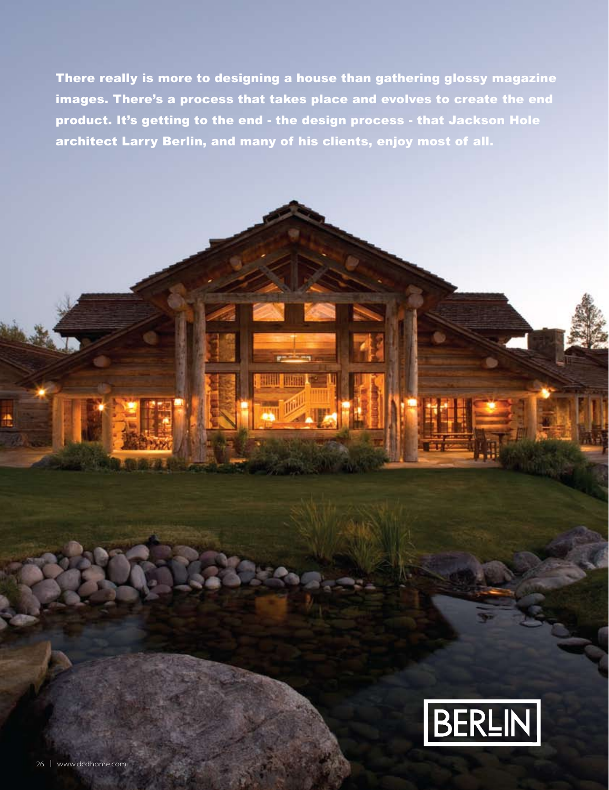There really is more to designing a house than gathering glossy magazine images. There's a process that takes place and evolves to create the end product. It's getting to the end - the design process - that Jackson Hole architect Larry Berlin, and many of his clients, enjoy most of all.

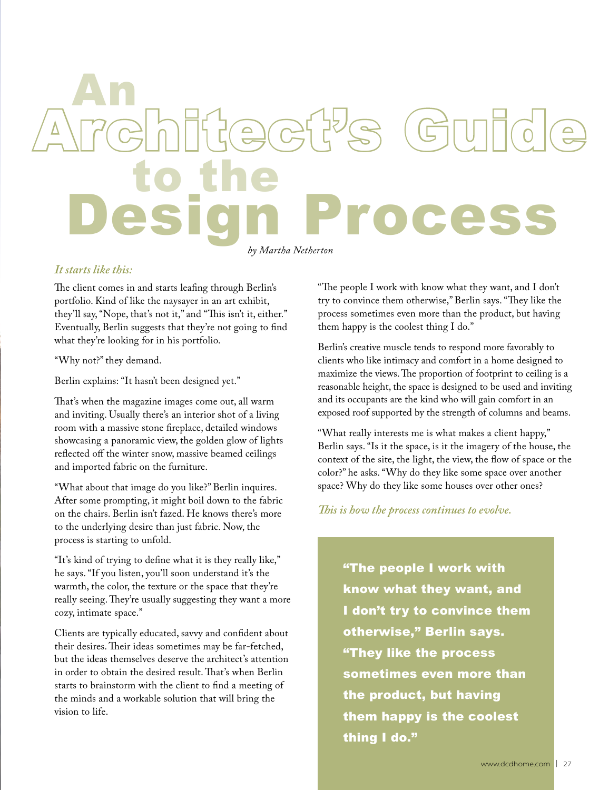## *by Martha Netherton* to the Architect's Guide An Design Process

## *It starts like this:*

The client comes in and starts leafing through Berlin's portfolio. Kind of like the naysayer in an art exhibit, they'll say, "Nope, that's not it," and "This isn't it, either." Eventually, Berlin suggests that they're not going to find what they're looking for in his portfolio.

"Why not?" they demand.

Berlin explains: "It hasn't been designed yet."

That's when the magazine images come out, all warm and inviting. Usually there's an interior shot of a living room with a massive stone fireplace, detailed windows showcasing a panoramic view, the golden glow of lights reflected off the winter snow, massive beamed ceilings and imported fabric on the furniture.

"What about that image do you like?" Berlin inquires. After some prompting, it might boil down to the fabric on the chairs. Berlin isn't fazed. He knows there's more to the underlying desire than just fabric. Now, the process is starting to unfold.

"It's kind of trying to define what it is they really like," he says. "If you listen, you'll soon understand it's the warmth, the color, the texture or the space that they're really seeing. They're usually suggesting they want a more cozy, intimate space."

Clients are typically educated, savvy and confident about their desires. Their ideas sometimes may be far-fetched, but the ideas themselves deserve the architect's attention in order to obtain the desired result. That's when Berlin starts to brainstorm with the client to find a meeting of the minds and a workable solution that will bring the vision to life.

"The people I work with know what they want, and I don't try to convince them otherwise," Berlin says. "They like the process sometimes even more than the product, but having them happy is the coolest thing I do."

Berlin's creative muscle tends to respond more favorably to clients who like intimacy and comfort in a home designed to maximize the views. The proportion of footprint to ceiling is a reasonable height, the space is designed to be used and inviting and its occupants are the kind who will gain comfort in an exposed roof supported by the strength of columns and beams.

"What really interests me is what makes a client happy," Berlin says. "Is it the space, is it the imagery of the house, the context of the site, the light, the view, the flow of space or the color?" he asks. "Why do they like some space over another space? Why do they like some houses over other ones?

*This is how the process continues to evolve.*

"The people I work with know what they want, and I don't try to convince them otherwise," Berlin says. "They like the process sometimes even more than the product, but having them happy is the coolest thing I do."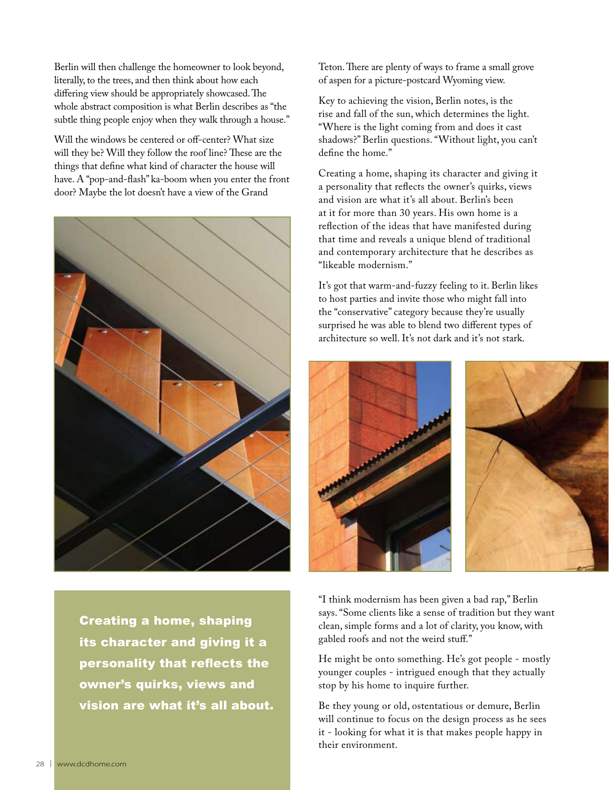Berlin will then challenge the homeowner to look beyond, literally, to the trees, and then think about how each differing view should be appropriately showcased. The whole abstract composition is what Berlin describes as "the subtle thing people enjoy when they walk through a house."

Will the windows be centered or off-center? What size will they be? Will they follow the roof line? These are the things that define what kind of character the house will have. A "pop-and-flash" ka-boom when you enter the front door? Maybe the lot doesn't have a view of the Grand



Creating a home, shaping its character and giving it a personality that reflects the owner's quirks, views and vision are what it's all about. Teton. There are plenty of ways to frame a small grove of aspen for a picture-postcard Wyoming view.

Key to achieving the vision, Berlin notes, is the rise and fall of the sun, which determines the light. "Where is the light coming from and does it cast shadows?" Berlin questions. "Without light, you can't define the home."

Creating a home, shaping its character and giving it a personality that reflects the owner's quirks, views and vision are what it's all about. Berlin's been at it for more than 30 years. His own home is a reflection of the ideas that have manifested during that time and reveals a unique blend of traditional and contemporary architecture that he describes as "likeable modernism."

It's got that warm-and-fuzzy feeling to it. Berlin likes to host parties and invite those who might fall into the "conservative" category because they're usually surprised he was able to blend two different types of architecture so well. It's not dark and it's not stark.



"I think modernism has been given a bad rap," Berlin says. "Some clients like a sense of tradition but they want clean, simple forms and a lot of clarity, you know, with gabled roofs and not the weird stuff."

He might be onto something. He's got people - mostly younger couples - intrigued enough that they actually stop by his home to inquire further.

Be they young or old, ostentatious or demure, Berlin will continue to focus on the design process as he sees it - looking for what it is that makes people happy in their environment.